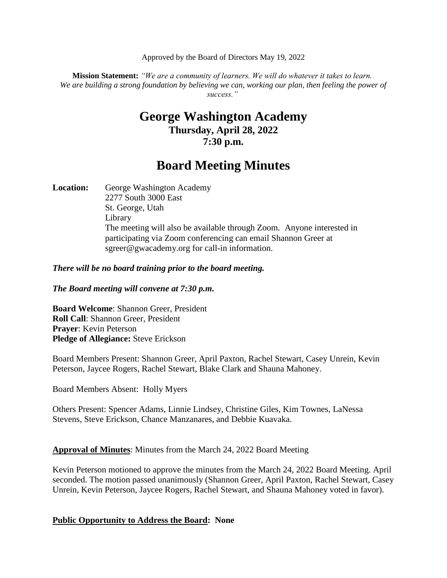Approved by the Board of Directors May 19, 2022

**Mission Statement:** *"We are a community of learners. We will do whatever it takes to learn. We are building a strong foundation by believing we can, working our plan, then feeling the power of success."*

# **George Washington Academy Thursday, April 28, 2022 7:30 p.m.**

# **Board Meeting Minutes**

Location: George Washington Academy 2277 South 3000 East St. George, Utah Library The meeting will also be available through Zoom. Anyone interested in participating via Zoom conferencing can email Shannon Greer at sgreer@gwacademy.org for call-in information.

*There will be no board training prior to the board meeting.*

*The Board meeting will convene at 7:30 p.m.*

**Board Welcome**: Shannon Greer, President **Roll Call**: Shannon Greer, President **Prayer**: Kevin Peterson **Pledge of Allegiance:** Steve Erickson

Board Members Present: Shannon Greer, April Paxton, Rachel Stewart, Casey Unrein, Kevin Peterson, Jaycee Rogers, Rachel Stewart, Blake Clark and Shauna Mahoney.

Board Members Absent: Holly Myers

Others Present: Spencer Adams, Linnie Lindsey, Christine Giles, Kim Townes, LaNessa Stevens, Steve Erickson, Chance Manzanares, and Debbie Kuavaka.

**Approval of Minutes**: Minutes from the March 24, 2022 Board Meeting

Kevin Peterson motioned to approve the minutes from the March 24, 2022 Board Meeting. April seconded. The motion passed unanimously (Shannon Greer, April Paxton, Rachel Stewart, Casey Unrein, Kevin Peterson, Jaycee Rogers, Rachel Stewart, and Shauna Mahoney voted in favor).

#### **Public Opportunity to Address the Board: None**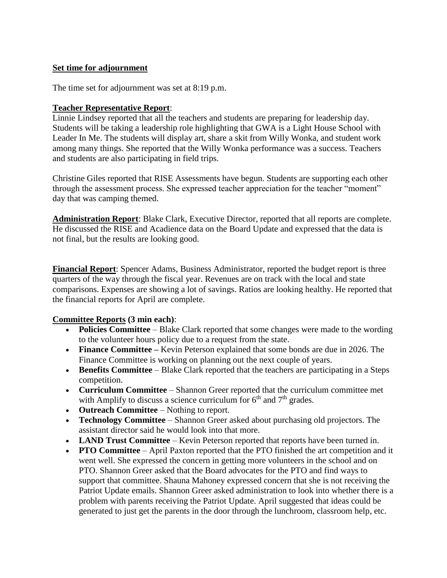### **Set time for adjournment**

The time set for adjournment was set at 8:19 p.m.

#### **Teacher Representative Report**:

Linnie Lindsey reported that all the teachers and students are preparing for leadership day. Students will be taking a leadership role highlighting that GWA is a Light House School with Leader In Me. The students will display art, share a skit from Willy Wonka, and student work among many things. She reported that the Willy Wonka performance was a success. Teachers and students are also participating in field trips.

Christine Giles reported that RISE Assessments have begun. Students are supporting each other through the assessment process. She expressed teacher appreciation for the teacher "moment" day that was camping themed.

**Administration Report**: Blake Clark, Executive Director, reported that all reports are complete. He discussed the RISE and Acadience data on the Board Update and expressed that the data is not final, but the results are looking good.

**Financial Report**: Spencer Adams, Business Administrator, reported the budget report is three quarters of the way through the fiscal year. Revenues are on track with the local and state comparisons. Expenses are showing a lot of savings. Ratios are looking healthy. He reported that the financial reports for April are complete.

#### **Committee Reports (3 min each)**:

- **Policies Committee** Blake Clark reported that some changes were made to the wording to the volunteer hours policy due to a request from the state.
- **Finance Committee –** Kevin Peterson explained that some bonds are due in 2026. The Finance Committee is working on planning out the next couple of years.
- **Benefits Committee** Blake Clark reported that the teachers are participating in a Steps competition.
- **Curriculum Committee**  Shannon Greer reported that the curriculum committee met with Amplify to discuss a science curriculum for  $6<sup>th</sup>$  and  $7<sup>th</sup>$  grades.
- **Outreach Committee** Nothing to report.
- **Technology Committee** Shannon Greer asked about purchasing old projectors. The assistant director said he would look into that more.
- **LAND Trust Committee**  Kevin Peterson reported that reports have been turned in.
- **PTO Committee** April Paxton reported that the PTO finished the art competition and it went well. She expressed the concern in getting more volunteers in the school and on PTO. Shannon Greer asked that the Board advocates for the PTO and find ways to support that committee. Shauna Mahoney expressed concern that she is not receiving the Patriot Update emails. Shannon Greer asked administration to look into whether there is a problem with parents receiving the Patriot Update. April suggested that ideas could be generated to just get the parents in the door through the lunchroom, classroom help, etc.